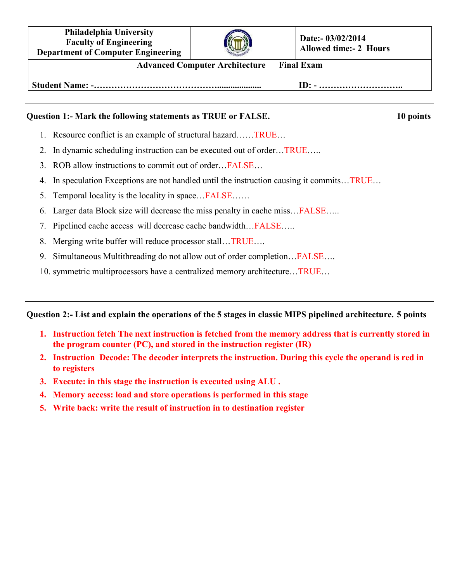**Philadelphia University Faculty of Engineering Department of Computer Engineering**



**Date:- 03/02/2014 Allowed time:- 2 Hours**

**Advanced Computer Architecture Final Exam** 

**Student Name: -…………………………………….................... ID: - ………………………..** 

## **Ouestion 1:- Mark the following statements as TRUE or FALSE.** 10 points **10** points

- 1. Resource conflict is an example of structural hazard……TRUE…
- 2. In dynamic scheduling instruction can be executed out of order…TRUE…..
- 3. ROB allow instructions to commit out of order…FALSE…
- 4. In speculation Exceptions are not handled until the instruction causing it commits…TRUE…
- 5. Temporal locality is the locality in space…FALSE……
- 6. Larger data Block size will decrease the miss penalty in cache miss…FALSE…..
- 7. Pipelined cache access will decrease cache bandwidth…FALSE…..
- 8. Merging write buffer will reduce processor stall…TRUE….
- 9. Simultaneous Multithreading do not allow out of order completion... FALSE....
- 10. symmetric multiprocessors have a centralized memory architecture…TRUE…

**Question 2:- List and explain the operations of the 5 stages in classic MIPS pipelined architecture. 5 points** 

- **1. Instruction fetch The next instruction is fetched from the memory address that is currently stored in the program counter (PC), and stored in the instruction register (IR)**
- **2. Instruction Decode: The decoder interprets the instruction. During this cycle the operand is red in to registers**
- **3. Execute: in this stage the instruction is executed using ALU .**
- **4. Memory access: load and store operations is performed in this stage**
- **5. Write back: write the result of instruction in to destination register**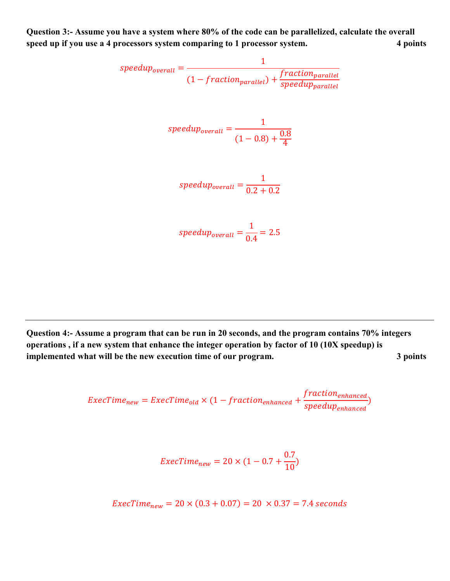**Question 3:- Assume you have a system where 80% of the code can be parallelized, calculate the overall speed up if you use a 4 processors system comparing to 1 processor system. 4 points** 

$$
speedup_{overall} = \frac{1}{(1 - fraction_{parallel}) + \frac{fraction_{parallel}}{speedup_{parallel}}}
$$

$$
speedup_{overall} = \frac{1}{(1 - 0.8) + \frac{0.8}{4}}
$$

$$
speedup_{overall} = \frac{1}{0.2 + 0.2}
$$

 $\frac{1}{0.4}$  = 2.5

**Question 4:- Assume a program that can be run in 20 seconds, and the program contains 70% integers operations , if a new system that enhance the integer operation by factor of 10 (10X speedup) is implemented what will be the new execution time of our program.** 3 points

speedup<sub>overall</sub> =

$$
ExecTime_{new} = ExecTime_{old} \times (1 - fraction_{enhanced} + \frac{fraction_{enhanced}}{speedup_{enhanced}})
$$

$$
ExecTime_{new} = 20 \times (1 - 0.7 + \frac{0.7}{10})
$$

 $\text{ExecTime}_{\text{new}} = 20 \times (0.3 + 0.07) = 20 \times 0.37 = 7.4$  seconds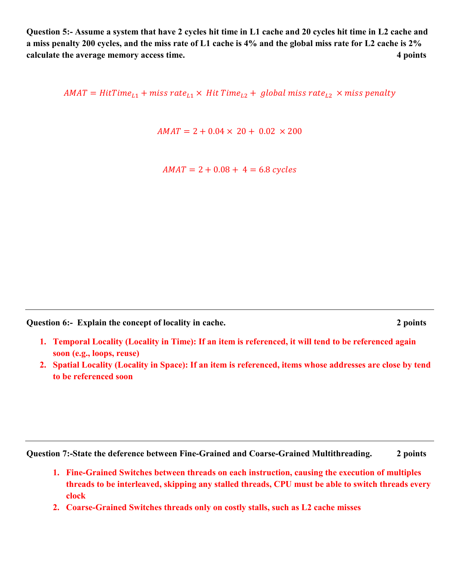**Question 5:- Assume a system that have 2 cycles hit time in L1 cache and 20 cycles hit time in L2 cache and a miss penalty 200 cycles, and the miss rate of L1 cache is 4% and the global miss rate for L2 cache is 2% calculate the average memory access time.** 4 points **4 points** 

AMAT = HitTime $_{L1}$  + miss rate $_{L1}$   $\times$  Hit Time $_{L2}$  +  $\,$  global miss rate $_{L2}$   $\times$  miss penalty

 $AMAT = 2 + 0.04 \times 20 + 0.02 \times 200$ 

 $AMAT = 2 + 0.08 + 4 = 6.8$  cycles

**Question 6:- Explain the concept of locality in cache. 2 points** 

- **1. Temporal Locality (Locality in Time): If an item is referenced, it will tend to be referenced again soon (e.g., loops, reuse)**
- **2. Spatial Locality (Locality in Space): If an item is referenced, items whose addresses are close by tend to be referenced soon**

**Question 7:-State the deference between Fine-Grained and Coarse-Grained Multithreading. 2 points**

- **1. Fine-Grained Switches between threads on each instruction, causing the execution of multiples threads to be interleaved, skipping any stalled threads, CPU must be able to switch threads every clock**
- **2. Coarse-Grained Switches threads only on costly stalls, such as L2 cache misses**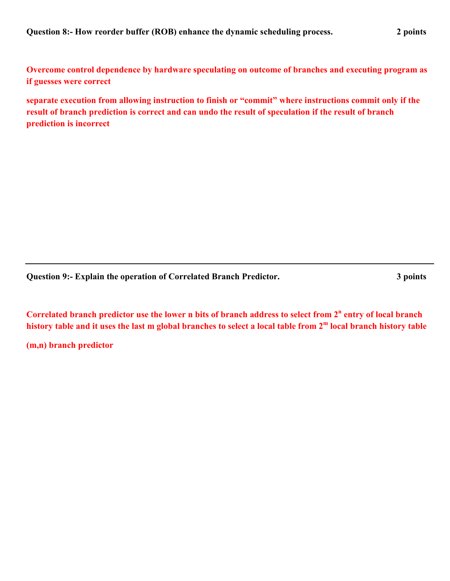**Overcome control dependence by hardware speculating on outcome of branches and executing program as if guesses were correct** 

**separate execution from allowing instruction to finish or "commit" where instructions commit only if the result of branch prediction is correct and can undo the result of speculation if the result of branch prediction is incorrect** 

**Question 9:- Explain the operation of Correlated Branch Predictor. 3 points** 

Correlated branch predictor use the lower n bits of branch address to select from 2<sup>n</sup> entry of local branch **history table and it uses the last m global branches to select a local table from 2<sup>m</sup> local branch history table** 

**(m,n) branch predictor**